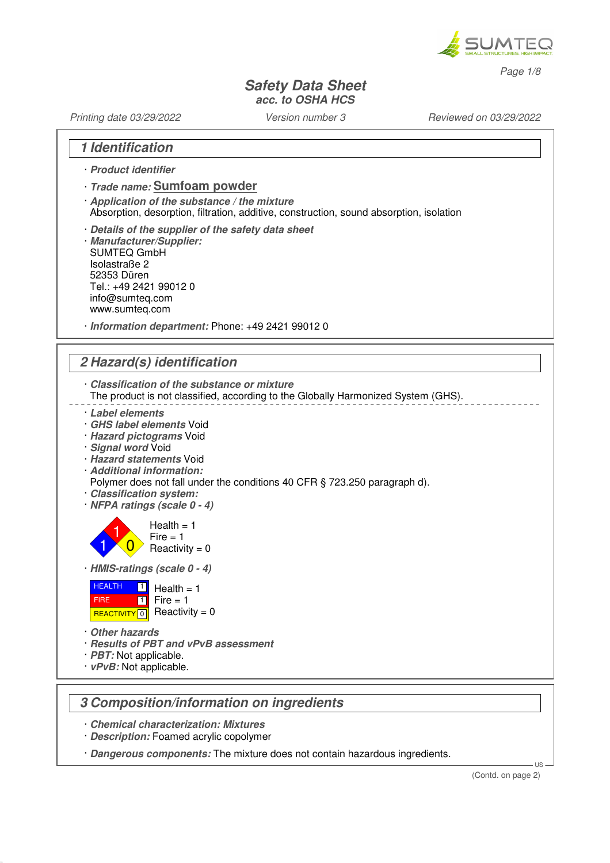

Page 1/8

### **Safety Data Sheet acc. to OSHA HCS**

Printing date 03/29/2022 Version number 3 Reviewed on 03/29/2022

### **1 Identification**

- · **Product identifier**
- · **Trade name: Sumfoam powder**
- · **Application of the substance / the mixture** Absorption, desorption, filtration, additive, construction, sound absorption, isolation
- · **Details of the supplier of the safety data sheet**
- · **Manufacturer/Supplier:** SUMTEQ GmbH Isolastraße 2 52353 Düren Tel.: +49 2421 99012 0 info@sumteq.com www.sumteq.com
- · **Information department:** Phone: +49 2421 99012 0

## **2 Hazard(s) identification**

- · **Classification of the substance or mixture**
- The product is not classified, according to the Globally Harmonized System (GHS).
- · **Label elements**
- · **GHS label elements** Void
- · **Hazard pictograms** Void
- · **Signal word** Void
- · **Hazard statements** Void
- · **Additional information:**
- Polymer does not fall under the conditions 40 CFR § 723.250 paragraph d).
- · **Classification system:**
- · **NFPA ratings (scale 0 4)**

1  $\overline{0}$  $Health = 1$  $Fire = 1$ Reactivity  $= 0$ 

· **HMIS-ratings (scale 0 - 4)**



· **Other hazards**

1

- · **Results of PBT and vPvB assessment**
- · **PBT:** Not applicable.
- · **vPvB:** Not applicable.

## **3 Composition/information on ingredients**

- · **Chemical characterization: Mixtures**
- · **Description:** Foamed acrylic copolymer
- · **Dangerous components:** The mixture does not contain hazardous ingredients.

US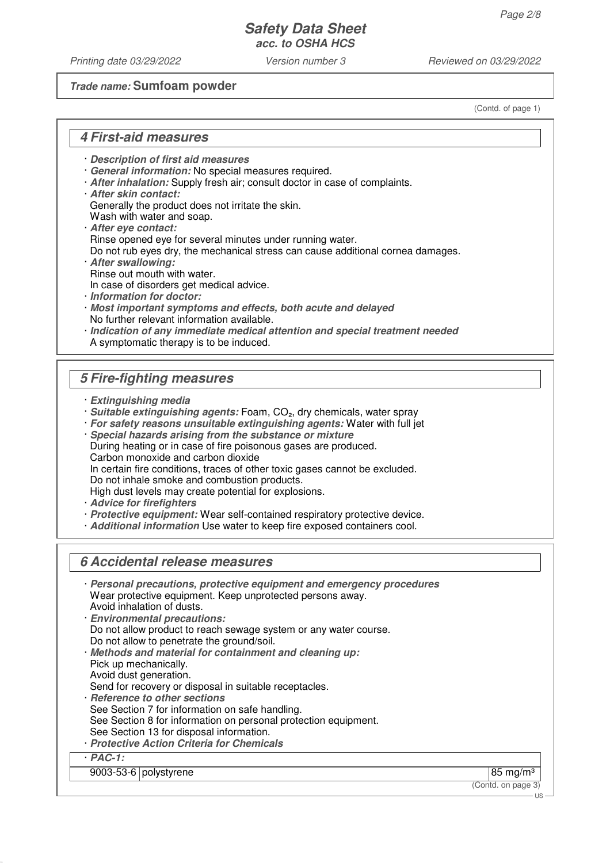Printing date 03/29/2022 Version number 3 Reviewed on 03/29/2022

### **Trade name: Sumfoam powder**

(Contd. of page 1)

### **4 First-aid measures**

- · **Description of first aid measures**
- · **General information:** No special measures required.
- · **After inhalation:** Supply fresh air; consult doctor in case of complaints.
- · **After skin contact:**

Generally the product does not irritate the skin.

- Wash with water and soap.
- · **After eye contact:** Rinse opened eye for several minutes under running water.
- Do not rub eyes dry, the mechanical stress can cause additional cornea damages.
- · **After swallowing:** Rinse out mouth with water.
- In case of disorders get medical advice.
- · **Information for doctor:**
- · **Most important symptoms and effects, both acute and delayed** No further relevant information available.
- · **Indication of any immediate medical attention and special treatment needed** A symptomatic therapy is to be induced.

## **5 Fire-fighting measures**

- · **Extinguishing media**
- · **Suitable extinguishing agents:** Foam, CO₂, dry chemicals, water spray
- · **For safety reasons unsuitable extinguishing agents:** Water with full jet
- · **Special hazards arising from the substance or mixture** During heating or in case of fire poisonous gases are produced. Carbon monoxide and carbon dioxide In certain fire conditions, traces of other toxic gases cannot be excluded. Do not inhale smoke and combustion products. High dust levels may create potential for explosions.
- · **Advice for firefighters**
- · **Protective equipment:** Wear self-contained respiratory protective device.
- · **Additional information** Use water to keep fire exposed containers cool.

# **6 Accidental release measures**

| Personal precautions, protective equipment and emergency procedures<br>Wear protective equipment. Keep unprotected persons away.<br>Avoid inhalation of dusts.<br><b>Environmental precautions:</b><br>Do not allow product to reach sewage system or any water course.<br>Do not allow to penetrate the ground/soil.<br>· Methods and material for containment and cleaning up:<br>Pick up mechanically.<br>Avoid dust generation.<br>Send for recovery or disposal in suitable receptacles.<br>· Reference to other sections<br>See Section 7 for information on safe handling.<br>See Section 8 for information on personal protection equipment.<br>See Section 13 for disposal information.<br>· Protective Action Criteria for Chemicals |                     |
|------------------------------------------------------------------------------------------------------------------------------------------------------------------------------------------------------------------------------------------------------------------------------------------------------------------------------------------------------------------------------------------------------------------------------------------------------------------------------------------------------------------------------------------------------------------------------------------------------------------------------------------------------------------------------------------------------------------------------------------------|---------------------|
| $PAC-1$ :                                                                                                                                                                                                                                                                                                                                                                                                                                                                                                                                                                                                                                                                                                                                      |                     |
| 9003-53-6   polystyrene                                                                                                                                                                                                                                                                                                                                                                                                                                                                                                                                                                                                                                                                                                                        | $85 \text{ mg/m}^3$ |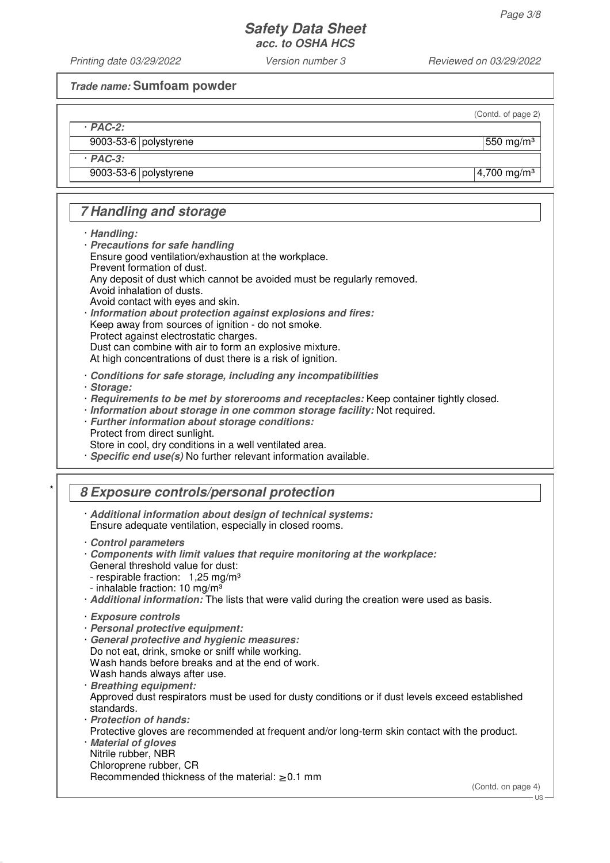Printing date 03/29/2022 Version number 3 Reviewed on 03/29/2022

**Trade name: Sumfoam powder**

(Contd. of page 2)

 $9003-53-6$  polystyrene  $\vert$  550 mg/m<sup>3</sup>

· **PAC-3:**

· **PAC-2:**

9003-53-6 polystyrene 4,700 mg/m<sup>3</sup>

# **7 Handling and storage**

· **Handling:**

· **Precautions for safe handling** Ensure good ventilation/exhaustion at the workplace. Prevent formation of dust. Any deposit of dust which cannot be avoided must be regularly removed. Avoid inhalation of dusts. Avoid contact with eyes and skin. · **Information about protection against explosions and fires:** Keep away from sources of ignition - do not smoke.

Protect against electrostatic charges.

Dust can combine with air to form an explosive mixture.

At high concentrations of dust there is a risk of ignition.

· **Conditions for safe storage, including any incompatibilities**

· **Storage:**

- · **Requirements to be met by storerooms and receptacles:** Keep container tightly closed.
- · **Information about storage in one common storage facility:** Not required.
- · **Further information about storage conditions:** Protect from direct sunlight.

Store in cool, dry conditions in a well ventilated area.

· **Specific end use(s)** No further relevant information available.

# \* **8 Exposure controls/personal protection**

· **Additional information about design of technical systems:** Ensure adequate ventilation, especially in closed rooms.

- · **Components with limit values that require monitoring at the workplace:** General threshold value for dust: - respirable fraction: 1,25 mg/m<sup>3</sup> - inhalable fraction:  $10 \text{ mg/m}^3$
- · **Additional information:** The lists that were valid during the creation were used as basis.

- · **Personal protective equipment:**
- · **General protective and hygienic measures:** Do not eat, drink, smoke or sniff while working. Wash hands before breaks and at the end of work. Wash hands always after use.
- · **Breathing equipment:** Approved dust respirators must be used for dusty conditions or if dust levels exceed established standards.
- · **Protection of hands:** Protective gloves are recommended at frequent and/or long-term skin contact with the product.
- · **Material of gloves** Nitrile rubber, NBR Chloroprene rubber, CR Recommended thickness of the material:  $\geq 0.1$  mm

(Contd. on page 4)

<sup>·</sup> **Control parameters**

<sup>·</sup> **Exposure controls**

US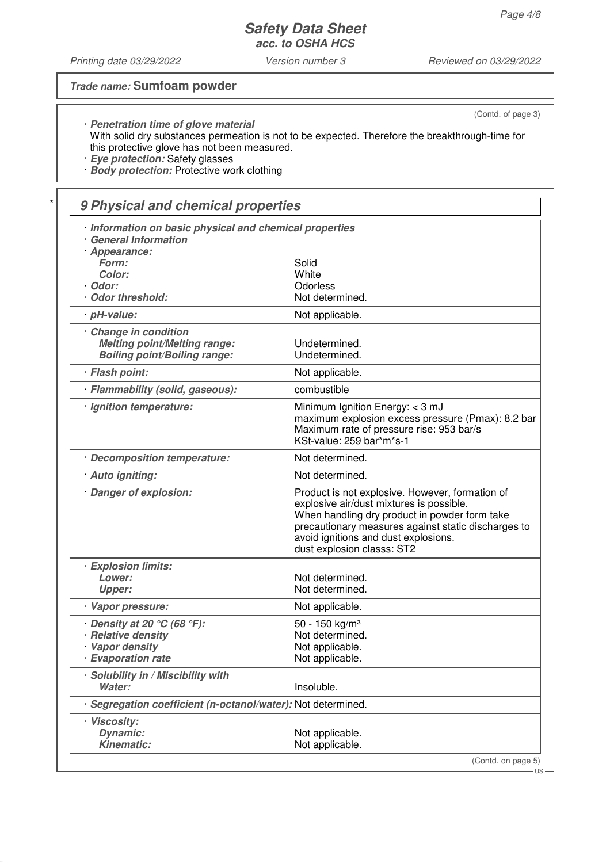Printing date 03/29/2022 Version number 3 Reviewed on 03/29/2022

### **Trade name: Sumfoam powder**

(Contd. of page 3)

· **Penetration time of glove material** With solid dry substances permeation is not to be expected. Therefore the breakthrough-time for this protective glove has not been measured.

· **Eye protection:** Safety glasses

· **Body protection:** Protective work clothing

# \* **9 Physical and chemical properties**

| Information on basic physical and chemical properties<br><b>General Information</b>               |                                                                                                                                                                                                                                                                           |  |  |
|---------------------------------------------------------------------------------------------------|---------------------------------------------------------------------------------------------------------------------------------------------------------------------------------------------------------------------------------------------------------------------------|--|--|
| · Appearance:<br>Form:                                                                            | Solid                                                                                                                                                                                                                                                                     |  |  |
| Color:                                                                                            | White                                                                                                                                                                                                                                                                     |  |  |
| · Odor:                                                                                           | Odorless                                                                                                                                                                                                                                                                  |  |  |
| Odor threshold:                                                                                   | Not determined.                                                                                                                                                                                                                                                           |  |  |
| · pH-value:                                                                                       | Not applicable.                                                                                                                                                                                                                                                           |  |  |
| Change in condition<br><b>Melting point/Melting range:</b><br><b>Boiling point/Boiling range:</b> | Undetermined.<br>Undetermined.                                                                                                                                                                                                                                            |  |  |
| · Flash point:                                                                                    | Not applicable.                                                                                                                                                                                                                                                           |  |  |
| · Flammability (solid, gaseous):                                                                  | combustible                                                                                                                                                                                                                                                               |  |  |
| · Ignition temperature:                                                                           | Minimum Ignition Energy: < 3 mJ<br>maximum explosion excess pressure (Pmax): 8.2 bar<br>Maximum rate of pressure rise: 953 bar/s<br>KSt-value: 259 bar*m*s-1                                                                                                              |  |  |
| · Decomposition temperature:                                                                      | Not determined.                                                                                                                                                                                                                                                           |  |  |
| · Auto igniting:                                                                                  | Not determined.                                                                                                                                                                                                                                                           |  |  |
| · Danger of explosion:                                                                            | Product is not explosive. However, formation of<br>explosive air/dust mixtures is possible.<br>When handling dry product in powder form take<br>precautionary measures against static discharges to<br>avoid ignitions and dust explosions.<br>dust explosion classs: ST2 |  |  |
| · Explosion limits:                                                                               |                                                                                                                                                                                                                                                                           |  |  |
| Lower:                                                                                            | Not determined.                                                                                                                                                                                                                                                           |  |  |
| <b>Upper:</b>                                                                                     | Not determined.                                                                                                                                                                                                                                                           |  |  |
| Vapor pressure:                                                                                   | Not applicable.                                                                                                                                                                                                                                                           |  |  |
| $\cdot$ Density at 20 $\degree$ C (68 $\degree$ F):                                               | 50 - 150 kg/m <sup>3</sup>                                                                                                                                                                                                                                                |  |  |
| · Relative density                                                                                | Not determined.                                                                                                                                                                                                                                                           |  |  |
| · Vapor density<br>· Evaporation rate                                                             | Not applicable.                                                                                                                                                                                                                                                           |  |  |
|                                                                                                   | Not applicable.                                                                                                                                                                                                                                                           |  |  |
| · Solubility in / Miscibility with<br>Water:                                                      | Insoluble.                                                                                                                                                                                                                                                                |  |  |
| Segregation coefficient (n-octanol/water): Not determined.                                        |                                                                                                                                                                                                                                                                           |  |  |
| · Viscosity:                                                                                      |                                                                                                                                                                                                                                                                           |  |  |
| <b>Dynamic:</b>                                                                                   | Not applicable.                                                                                                                                                                                                                                                           |  |  |
| <b>Kinematic:</b>                                                                                 | Not applicable.                                                                                                                                                                                                                                                           |  |  |
|                                                                                                   | (Contd. on page 5)<br>·US·                                                                                                                                                                                                                                                |  |  |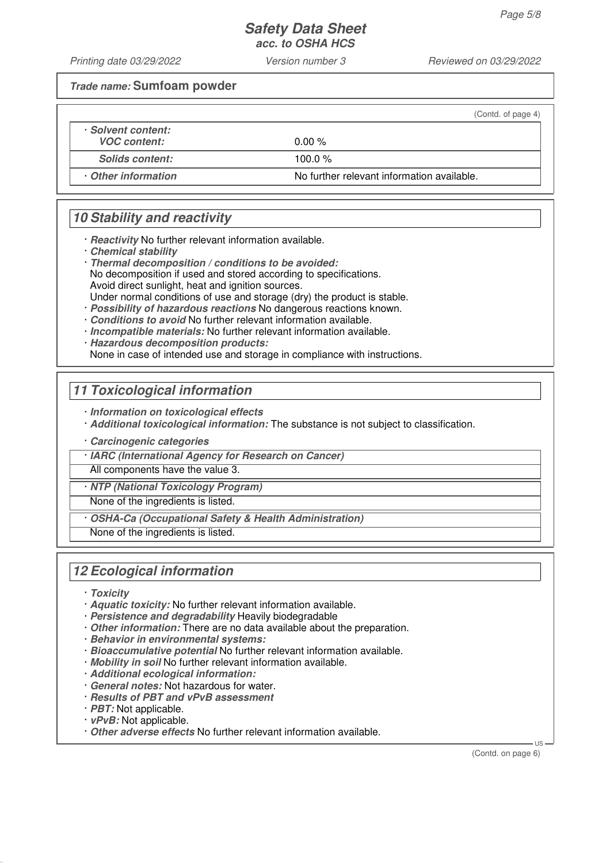Printing date 03/29/2022 Version number 3 Reviewed on 03/29/2022

**Trade name: Sumfoam powder**

|                        | (Contd. of page 4)                         |
|------------------------|--------------------------------------------|
| · Solvent content:     |                                            |
| <b>VOC content:</b>    | $0.00\%$                                   |
| <b>Solids content:</b> | 100.0 $\%$                                 |
| Other information      | No further relevant information available. |

## **10 Stability and reactivity**

· **Reactivity** No further relevant information available.

- · **Chemical stability**
- · **Thermal decomposition / conditions to be avoided:** No decomposition if used and stored according to specifications. Avoid direct sunlight, heat and ignition sources. Under normal conditions of use and storage (dry) the product is stable.
- · **Possibility of hazardous reactions** No dangerous reactions known.
- · **Conditions to avoid** No further relevant information available.
- · **Incompatible materials:** No further relevant information available.

· **Hazardous decomposition products:**

None in case of intended use and storage in compliance with instructions.

## **11 Toxicological information**

· **Information on toxicological effects**

· **Additional toxicological information:** The substance is not subject to classification.

· **Carcinogenic categories**

· **IARC (International Agency for Research on Cancer)**

All components have the value 3.

· **NTP (National Toxicology Program)**

None of the ingredients is listed.

· **OSHA-Ca (Occupational Safety & Health Administration)**

None of the ingredients is listed.

## **12 Ecological information**

- · **Toxicity**
- · **Aquatic toxicity:** No further relevant information available.
- · **Persistence and degradability** Heavily biodegradable
- · **Other information:** There are no data available about the preparation.
- · **Behavior in environmental systems:**
- · **Bioaccumulative potential** No further relevant information available.
- · **Mobility in soil** No further relevant information available.
- · **Additional ecological information:**
- · **General notes:** Not hazardous for water.
- · **Results of PBT and vPvB assessment**
- · **PBT:** Not applicable.
- · **vPvB:** Not applicable.
- · **Other adverse effects** No further relevant information available.

(Contd. on page 6)

US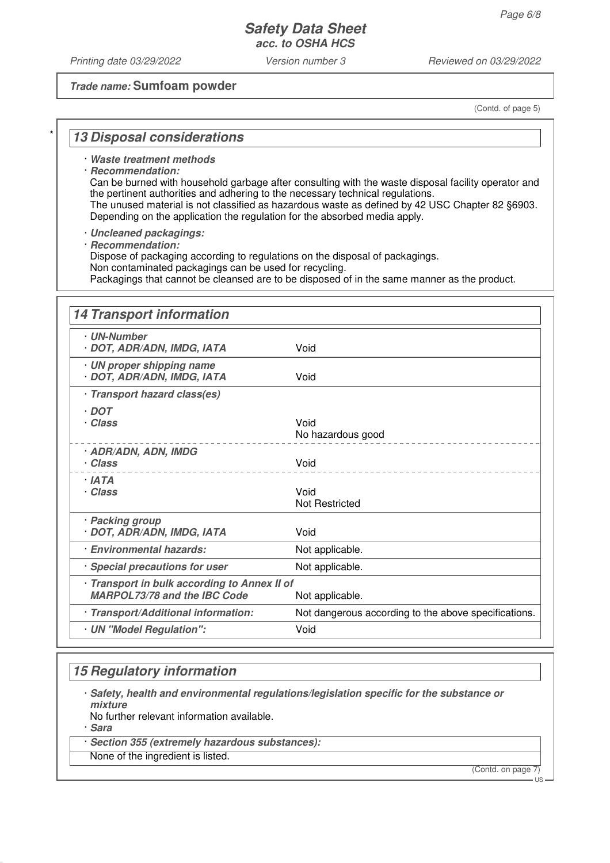Printing date 03/29/2022 Version number 3 Reviewed on 03/29/2022

### **Trade name: Sumfoam powder**

(Contd. of page 5)

### **13 Disposal considerations**

· **Waste treatment methods**

· **Recommendation:**

Can be burned with household garbage after consulting with the waste disposal facility operator and the pertinent authorities and adhering to the necessary technical regulations. The unused material is not classified as hazardous waste as defined by 42 USC Chapter 82 §6903.

Depending on the application the regulation for the absorbed media apply.

· **Uncleaned packagings:**

· **Recommendation:**

Dispose of packaging according to regulations on the disposal of packagings.

Non contaminated packagings can be used for recycling.

Packagings that cannot be cleansed are to be disposed of in the same manner as the product.

| <b>14 Transport information</b>                                                     |                                                      |
|-------------------------------------------------------------------------------------|------------------------------------------------------|
| · UN-Number<br>· DOT, ADR/ADN, IMDG, IATA                                           | Void                                                 |
| · UN proper shipping name<br>· DOT, ADR/ADN, IMDG, IATA                             | Void                                                 |
| · Transport hazard class(es)                                                        |                                                      |
| $\cdot$ DOT<br>· Class                                                              | Void<br>No hazardous good                            |
| <b>ADR/ADN, ADN, IMDG</b><br>· Class                                                | Void                                                 |
| · IATA<br>· Class                                                                   | Void<br>Not Restricted                               |
| · Packing group<br>· DOT, ADR/ADN, IMDG, IATA                                       | Void                                                 |
| <b>Environmental hazards:</b>                                                       | Not applicable.                                      |
| Special precautions for user                                                        | Not applicable.                                      |
| · Transport in bulk according to Annex II of<br><b>MARPOL73/78 and the IBC Code</b> | Not applicable.                                      |
| · Transport/Additional information:                                                 | Not dangerous according to the above specifications. |
| · UN "Model Regulation":                                                            | Void                                                 |

## **15 Regulatory information**

· **Safety, health and environmental regulations/legislation specific for the substance or mixture**

No further relevant information available.

· **Sara**

Section 355 (extremely hazardous substances):

None of the ingredient is listed.

(Contd. on page 7)

US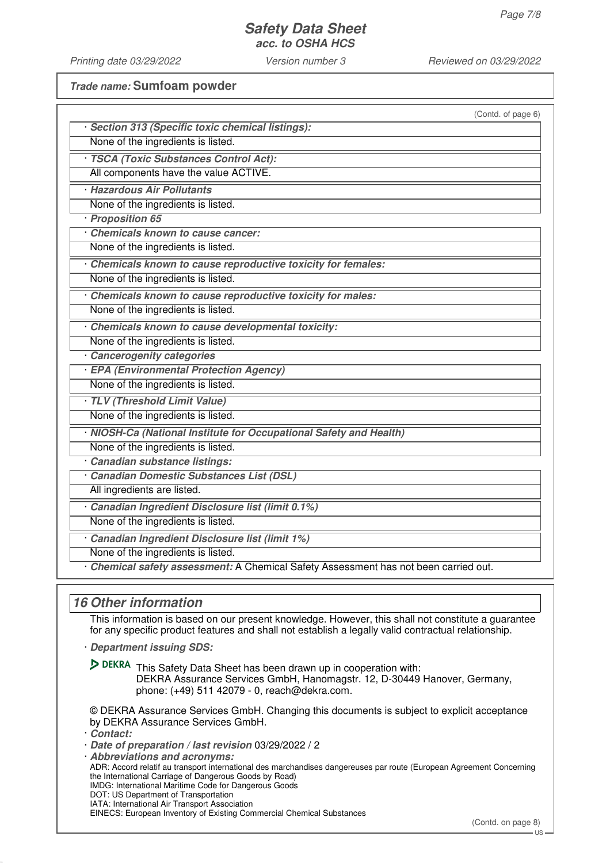Printing date 03/29/2022 Version number 3 Reviewed on 03/29/2022

**Trade name: Sumfoam powder**

| (Contd. of page 6)                                                                                                                                                                                        |
|-----------------------------------------------------------------------------------------------------------------------------------------------------------------------------------------------------------|
| · Section 313 (Specific toxic chemical listings):                                                                                                                                                         |
| None of the ingredients is listed.                                                                                                                                                                        |
| TSCA (Toxic Substances Control Act):                                                                                                                                                                      |
| All components have the value ACTIVE.                                                                                                                                                                     |
| · Hazardous Air Pollutants                                                                                                                                                                                |
| None of the ingredients is listed.                                                                                                                                                                        |
| · Proposition 65                                                                                                                                                                                          |
| Chemicals known to cause cancer:                                                                                                                                                                          |
| None of the ingredients is listed.                                                                                                                                                                        |
| Chemicals known to cause reproductive toxicity for females:                                                                                                                                               |
| None of the ingredients is listed.                                                                                                                                                                        |
| Chemicals known to cause reproductive toxicity for males:                                                                                                                                                 |
| None of the ingredients is listed.                                                                                                                                                                        |
| Chemicals known to cause developmental toxicity:                                                                                                                                                          |
| None of the ingredients is listed.                                                                                                                                                                        |
| Cancerogenity categories                                                                                                                                                                                  |
| · EPA (Environmental Protection Agency)                                                                                                                                                                   |
| None of the ingredients is listed.                                                                                                                                                                        |
| TLV (Threshold Limit Value)                                                                                                                                                                               |
| None of the ingredients is listed.                                                                                                                                                                        |
| · NIOSH-Ca (National Institute for Occupational Safety and Health)                                                                                                                                        |
| None of the ingredients is listed.                                                                                                                                                                        |
| Canadian substance listings:                                                                                                                                                                              |
| Canadian Domestic Substances List (DSL)                                                                                                                                                                   |
| All ingredients are listed.                                                                                                                                                                               |
| Canadian Ingredient Disclosure list (limit 0.1%)                                                                                                                                                          |
| None of the ingredients is listed.                                                                                                                                                                        |
| Canadian Ingredient Disclosure list (limit 1%)                                                                                                                                                            |
| None of the ingredients is listed.                                                                                                                                                                        |
| Chemical safety assessment: A Chemical Safety Assessment has not been carried out.                                                                                                                        |
|                                                                                                                                                                                                           |
| <b>16 Other information</b>                                                                                                                                                                               |
| This information is based on our present knowledge. However, this shall not constitute a guarantee<br>for any specific product features and shall not establish a legally valid contractual relationship. |
| Department issuing SDS:                                                                                                                                                                                   |
| DEKRA This Safety Data Sheet has been drawn up in cooperation with:<br>DEKRA Assurance Services GmbH, Hanomagstr. 12, D-30449 Hanover, Germany,<br>phone: (+49) 511 42079 - 0, reach@dekra.com.           |
| © DEKRA Assurance Services GmbH. Changing this documents is subject to explicit acceptance<br>by DEKRA Assurance Services GmbH.                                                                           |

- · **Contact:**
- · **Date of preparation / last revision** 03/29/2022 / 2

· **Abbreviations and acronyms:** ADR: Accord relatif au transport international des marchandises dangereuses par route (European Agreement Concerning the International Carriage of Dangerous Goods by Road) IMDG: International Maritime Code for Dangerous Goods DOT: US Department of Transportation IATA: International Air Transport Association EINECS: European Inventory of Existing Commercial Chemical Substances